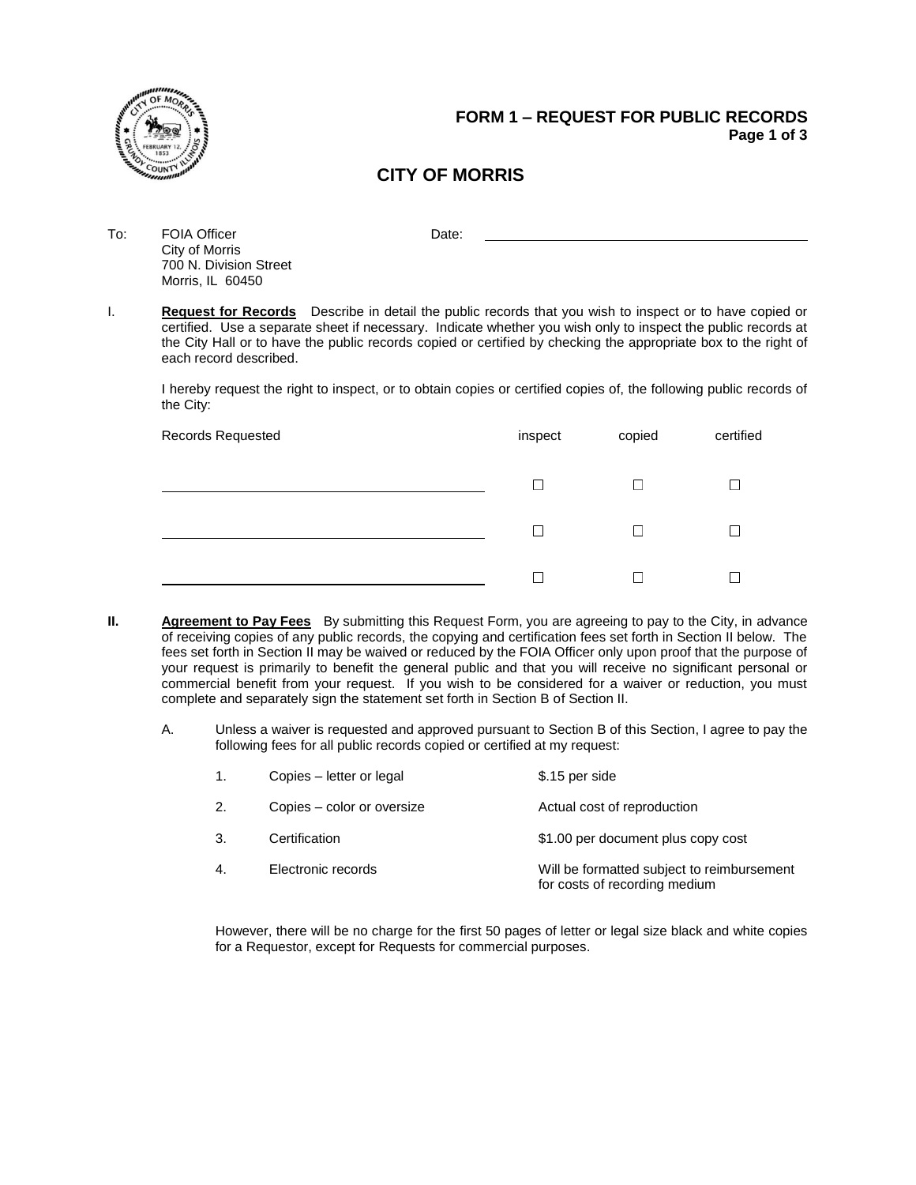

## **FORM 1 – REQUEST FOR PUBLIC RECORDS Page 1 of 3**

# **CITY OF MORRIS**

To: FOIA Officer Date: Date: City of Morris 700 N. Division Street Morris, IL 60450

I. **Request for Records** Describe in detail the public records that you wish to inspect or to have copied or certified. Use a separate sheet if necessary. Indicate whether you wish only to inspect the public records at the City Hall or to have the public records copied or certified by checking the appropriate box to the right of each record described.

I hereby request the right to inspect, or to obtain copies or certified copies of, the following public records of the City:

| Records Requested |              | copied<br>inspect | certified |
|-------------------|--------------|-------------------|-----------|
|                   | $\mathbf{I}$ | $\blacksquare$    |           |
|                   | Г            | $\blacksquare$    |           |
|                   |              |                   |           |

- **II. Agreement to Pay Fees** By submitting this Request Form, you are agreeing to pay to the City, in advance of receiving copies of any public records, the copying and certification fees set forth in Section II below. The fees set forth in Section II may be waived or reduced by the FOIA Officer only upon proof that the purpose of your request is primarily to benefit the general public and that you will receive no significant personal or commercial benefit from your request. If you wish to be considered for a waiver or reduction, you must complete and separately sign the statement set forth in Section B of Section II.
	- A. Unless a waiver is requested and approved pursuant to Section B of this Section, I agree to pay the following fees for all public records copied or certified at my request:

|    | Copies - letter or legal   | \$.15 per side                                                              |
|----|----------------------------|-----------------------------------------------------------------------------|
| 2. | Copies – color or oversize | Actual cost of reproduction                                                 |
| 3. | Certification              | \$1.00 per document plus copy cost                                          |
| 4. | Electronic records         | Will be formatted subject to reimbursement<br>for costs of recording medium |

However, there will be no charge for the first 50 pages of letter or legal size black and white copies for a Requestor, except for Requests for commercial purposes.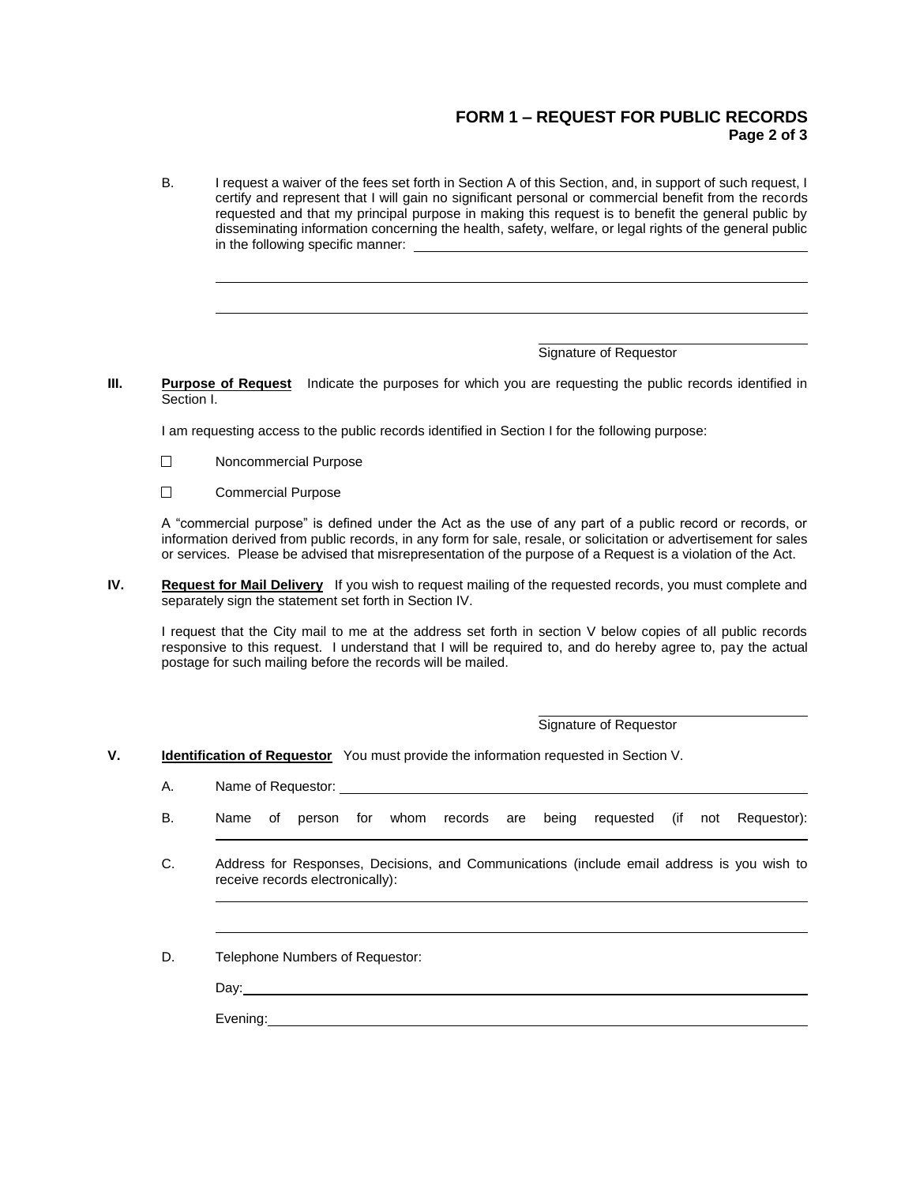### **FORM 1 – REQUEST FOR PUBLIC RECORDS Page 2 of 3**

B. I request a waiver of the fees set forth in Section A of this Section, and, in support of such request, I certify and represent that I will gain no significant personal or commercial benefit from the records requested and that my principal purpose in making this request is to benefit the general public by disseminating information concerning the health, safety, welfare, or legal rights of the general public in the following specific manner:

#### Signature of Requestor

**III. Purpose of Request** Indicate the purposes for which you are requesting the public records identified in Section I.

I am requesting access to the public records identified in Section I for the following purpose:

- $\Box$ Noncommercial Purpose
- $\Box$ Commercial Purpose

A "commercial purpose" is defined under the Act as the use of any part of a public record or records, or information derived from public records, in any form for sale, resale, or solicitation or advertisement for sales or services. Please be advised that misrepresentation of the purpose of a Request is a violation of the Act.

**IV. Request for Mail Delivery** If you wish to request mailing of the requested records, you must complete and separately sign the statement set forth in Section IV.

I request that the City mail to me at the address set forth in section V below copies of all public records responsive to this request. I understand that I will be required to, and do hereby agree to, pay the actual postage for such mailing before the records will be mailed.

Signature of Requestor

**V. Identification of Requestor** You must provide the information requested in Section V.

A. Name of Requestor:

- B. Name of person for whom records are being requested (if not Requestor):
- C. Address for Responses, Decisions, and Communications (include email address is you wish to receive records electronically):

D. Telephone Numbers of Requestor:

Day:\_\_\_\_

Evening: The contract of the contract of the contract of the contract of the contract of the contract of the contract of the contract of the contract of the contract of the contract of the contract of the contract of the c